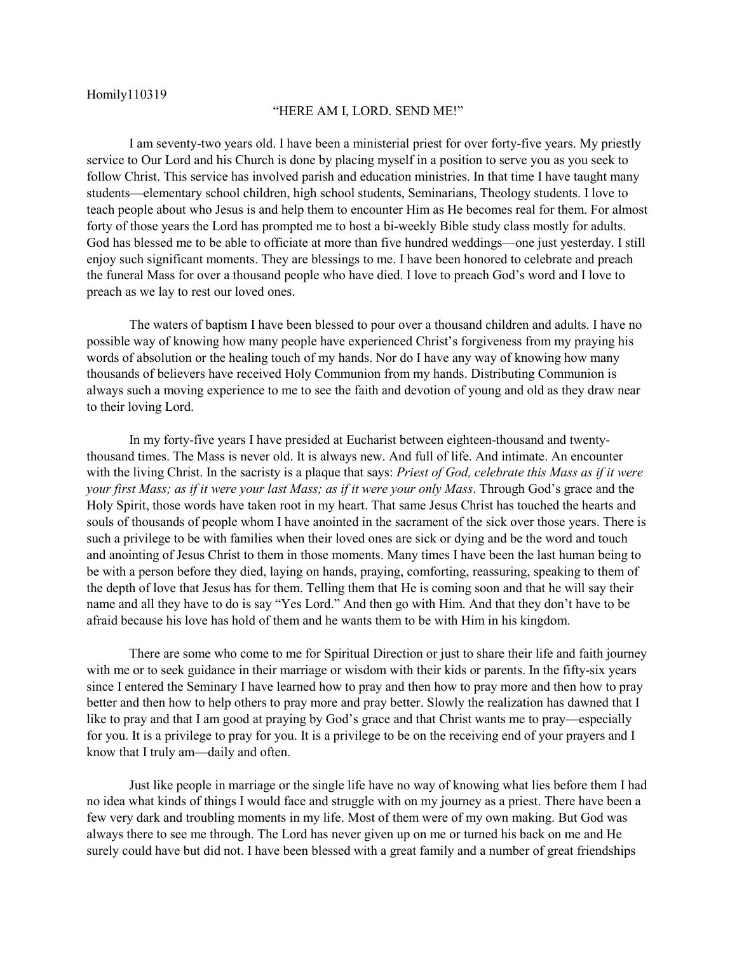## Homily110319

## "HERE AM I, LORD. SEND ME!"

I am seventy-two years old. I have been a ministerial priest for over forty-five years. My priestly service to Our Lord and his Church is done by placing myself in a position to serve you as you seek to follow Christ. This service has involved parish and education ministries. In that time I have taught many students—elementary school children, high school students, Seminarians, Theology students. I love to teach people about who Jesus is and help them to encounter Him as He becomes real for them. For almost forty of those years the Lord has prompted me to host a bi-weekly Bible study class mostly for adults. God has blessed me to be able to officiate at more than five hundred weddings—one just yesterday. I still enjoy such significant moments. They are blessings to me. I have been honored to celebrate and preach the funeral Mass for over a thousand people who have died. I love to preach God's word and I love to preach as we lay to rest our loved ones.

The waters of baptism I have been blessed to pour over a thousand children and adults. I have no possible way of knowing how many people have experienced Christ's forgiveness from my praying his words of absolution or the healing touch of my hands. Nor do I have any way of knowing how many thousands of believers have received Holy Communion from my hands. Distributing Communion is always such a moving experience to me to see the faith and devotion of young and old as they draw near to their loving Lord.

In my forty-five years I have presided at Eucharist between eighteen-thousand and twentythousand times. The Mass is never old. It is always new. And full of life. And intimate. An encounter with the living Christ. In the sacristy is a plaque that says: *Priest of God, celebrate this Mass as if it were your first Mass; as if it were your last Mass; as if it were your only Mass*. Through God's grace and the Holy Spirit, those words have taken root in my heart. That same Jesus Christ has touched the hearts and souls of thousands of people whom I have anointed in the sacrament of the sick over those years. There is such a privilege to be with families when their loved ones are sick or dying and be the word and touch and anointing of Jesus Christ to them in those moments. Many times I have been the last human being to be with a person before they died, laying on hands, praying, comforting, reassuring, speaking to them of the depth of love that Jesus has for them. Telling them that He is coming soon and that he will say their name and all they have to do is say "Yes Lord." And then go with Him. And that they don't have to be afraid because his love has hold of them and he wants them to be with Him in his kingdom.

There are some who come to me for Spiritual Direction or just to share their life and faith journey with me or to seek guidance in their marriage or wisdom with their kids or parents. In the fifty-six years since I entered the Seminary I have learned how to pray and then how to pray more and then how to pray better and then how to help others to pray more and pray better. Slowly the realization has dawned that I like to pray and that I am good at praying by God's grace and that Christ wants me to pray—especially for you. It is a privilege to pray for you. It is a privilege to be on the receiving end of your prayers and I know that I truly am—daily and often.

Just like people in marriage or the single life have no way of knowing what lies before them I had no idea what kinds of things I would face and struggle with on my journey as a priest. There have been a few very dark and troubling moments in my life. Most of them were of my own making. But God was always there to see me through. The Lord has never given up on me or turned his back on me and He surely could have but did not. I have been blessed with a great family and a number of great friendships